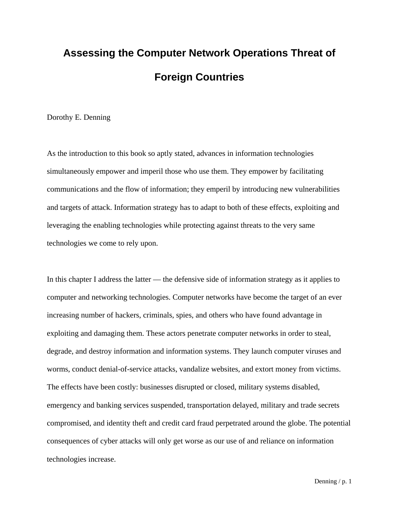# **Assessing the Computer Network Operations Threat of Foreign Countries**

Dorothy E. Denning

As the introduction to this book so aptly stated, advances in information technologies simultaneously empower and imperil those who use them. They empower by facilitating communications and the flow of information; they emperil by introducing new vulnerabilities and targets of attack. Information strategy has to adapt to both of these effects, exploiting and leveraging the enabling technologies while protecting against threats to the very same technologies we come to rely upon.

In this chapter I address the latter — the defensive side of information strategy as it applies to computer and networking technologies. Computer networks have become the target of an ever increasing number of hackers, criminals, spies, and others who have found advantage in exploiting and damaging them. These actors penetrate computer networks in order to steal, degrade, and destroy information and information systems. They launch computer viruses and worms, conduct denial-of-service attacks, vandalize websites, and extort money from victims. The effects have been costly: businesses disrupted or closed, military systems disabled, emergency and banking services suspended, transportation delayed, military and trade secrets compromised, and identity theft and credit card fraud perpetrated around the globe. The potential consequences of cyber attacks will only get worse as our use of and reliance on information technologies increase.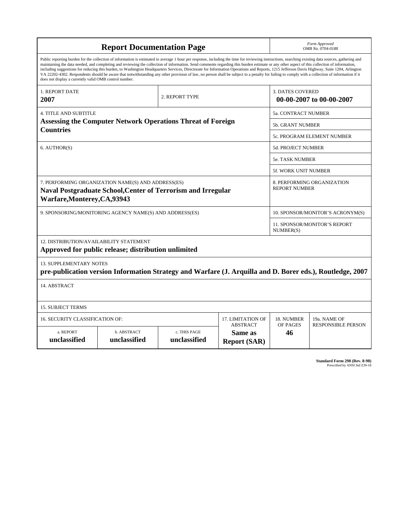| <b>Report Documentation Page</b>                                                                                                                                                                                                                                                                                                                                                                                                                                                                                                                                                                                                                                                                                                                                                                                                                                   |                             |                              |                                                   | Form Approved<br>OMB No. 0704-0188                  |                           |
|--------------------------------------------------------------------------------------------------------------------------------------------------------------------------------------------------------------------------------------------------------------------------------------------------------------------------------------------------------------------------------------------------------------------------------------------------------------------------------------------------------------------------------------------------------------------------------------------------------------------------------------------------------------------------------------------------------------------------------------------------------------------------------------------------------------------------------------------------------------------|-----------------------------|------------------------------|---------------------------------------------------|-----------------------------------------------------|---------------------------|
| Public reporting burden for the collection of information is estimated to average 1 hour per response, including the time for reviewing instructions, searching existing data sources, gathering and<br>maintaining the data needed, and completing and reviewing the collection of information. Send comments regarding this burden estimate or any other aspect of this collection of information,<br>including suggestions for reducing this burden, to Washington Headquarters Services, Directorate for Information Operations and Reports, 1215 Jefferson Davis Highway, Suite 1204, Arlington<br>VA 22202-4302. Respondents should be aware that notwithstanding any other provision of law, no person shall be subject to a penalty for failing to comply with a collection of information if it<br>does not display a currently valid OMB control number. |                             |                              |                                                   |                                                     |                           |
| 1. REPORT DATE<br>2007                                                                                                                                                                                                                                                                                                                                                                                                                                                                                                                                                                                                                                                                                                                                                                                                                                             | 2. REPORT TYPE              |                              |                                                   | <b>3. DATES COVERED</b><br>00-00-2007 to 00-00-2007 |                           |
| <b>4. TITLE AND SUBTITLE</b>                                                                                                                                                                                                                                                                                                                                                                                                                                                                                                                                                                                                                                                                                                                                                                                                                                       |                             |                              |                                                   | 5a. CONTRACT NUMBER                                 |                           |
| <b>Assessing the Computer Network Operations Threat of Foreign</b><br><b>Countries</b>                                                                                                                                                                                                                                                                                                                                                                                                                                                                                                                                                                                                                                                                                                                                                                             |                             |                              |                                                   | <b>5b. GRANT NUMBER</b>                             |                           |
|                                                                                                                                                                                                                                                                                                                                                                                                                                                                                                                                                                                                                                                                                                                                                                                                                                                                    |                             |                              |                                                   | 5c. PROGRAM ELEMENT NUMBER                          |                           |
| 6. AUTHOR(S)                                                                                                                                                                                                                                                                                                                                                                                                                                                                                                                                                                                                                                                                                                                                                                                                                                                       |                             |                              |                                                   | 5d. PROJECT NUMBER                                  |                           |
|                                                                                                                                                                                                                                                                                                                                                                                                                                                                                                                                                                                                                                                                                                                                                                                                                                                                    |                             |                              |                                                   | <b>5e. TASK NUMBER</b>                              |                           |
|                                                                                                                                                                                                                                                                                                                                                                                                                                                                                                                                                                                                                                                                                                                                                                                                                                                                    |                             |                              |                                                   | <b>5f. WORK UNIT NUMBER</b>                         |                           |
| 7. PERFORMING ORGANIZATION NAME(S) AND ADDRESS(ES)<br>Naval Postgraduate School, Center of Terrorism and Irregular<br>Warfare, Monterey, CA, 93943                                                                                                                                                                                                                                                                                                                                                                                                                                                                                                                                                                                                                                                                                                                 |                             |                              |                                                   | 8. PERFORMING ORGANIZATION<br><b>REPORT NUMBER</b>  |                           |
| 9. SPONSORING/MONITORING AGENCY NAME(S) AND ADDRESS(ES)                                                                                                                                                                                                                                                                                                                                                                                                                                                                                                                                                                                                                                                                                                                                                                                                            |                             |                              |                                                   | 10. SPONSOR/MONITOR'S ACRONYM(S)                    |                           |
|                                                                                                                                                                                                                                                                                                                                                                                                                                                                                                                                                                                                                                                                                                                                                                                                                                                                    |                             |                              |                                                   | 11. SPONSOR/MONITOR'S REPORT<br>NUMBER(S)           |                           |
| 12. DISTRIBUTION/AVAILABILITY STATEMENT<br>Approved for public release; distribution unlimited                                                                                                                                                                                                                                                                                                                                                                                                                                                                                                                                                                                                                                                                                                                                                                     |                             |                              |                                                   |                                                     |                           |
| <b>13. SUPPLEMENTARY NOTES</b><br>pre-publication version Information Strategy and Warfare (J. Arquilla and D. Borer eds.), Routledge, 2007                                                                                                                                                                                                                                                                                                                                                                                                                                                                                                                                                                                                                                                                                                                        |                             |                              |                                                   |                                                     |                           |
| 14. ABSTRACT                                                                                                                                                                                                                                                                                                                                                                                                                                                                                                                                                                                                                                                                                                                                                                                                                                                       |                             |                              |                                                   |                                                     |                           |
| <b>15. SUBJECT TERMS</b>                                                                                                                                                                                                                                                                                                                                                                                                                                                                                                                                                                                                                                                                                                                                                                                                                                           |                             |                              |                                                   |                                                     |                           |
| 16. SECURITY CLASSIFICATION OF:<br>17. LIMITATION OF                                                                                                                                                                                                                                                                                                                                                                                                                                                                                                                                                                                                                                                                                                                                                                                                               |                             |                              |                                                   | 18. NUMBER                                          | 19a. NAME OF              |
| a. REPORT<br>unclassified                                                                                                                                                                                                                                                                                                                                                                                                                                                                                                                                                                                                                                                                                                                                                                                                                                          | b. ABSTRACT<br>unclassified | c. THIS PAGE<br>unclassified | <b>ABSTRACT</b><br>Same as<br><b>Report (SAR)</b> | OF PAGES<br>46                                      | <b>RESPONSIBLE PERSON</b> |

**Standard Form 298 (Rev. 8-98)**<br>Prescribed by ANSI Std Z39-18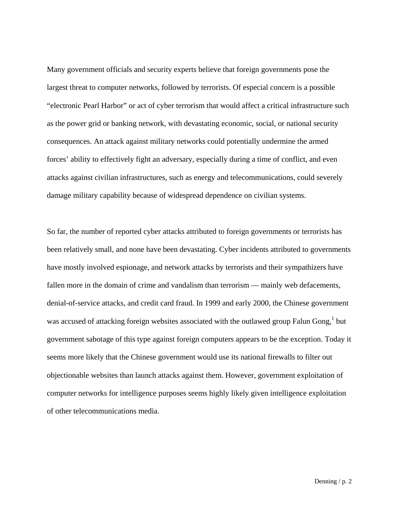Many government officials and security experts believe that foreign governments pose the largest threat to computer networks, followed by terrorists. Of especial concern is a possible "electronic Pearl Harbor" or act of cyber terrorism that would affect a critical infrastructure such as the power grid or banking network, with devastating economic, social, or national security consequences. An attack against military networks could potentially undermine the armed forces' ability to effectively fight an adversary, especially during a time of conflict, and even attacks against civilian infrastructures, such as energy and telecommunications, could severely damage military capability because of widespread dependence on civilian systems.

So far, the number of reported cyber attacks attributed to foreign governments or terrorists has been relatively small, and none have been devastating. Cyber incidents attributed to governments have mostly involved espionage, and network attacks by terrorists and their sympathizers have fallen more in the domain of crime and vandalism than terrorism — mainly web defacements, denial-of-service attacks, and credit card fraud. In 1999 and early 2000, the Chinese government was accused of attacking foreign websites associated with the outlawed group Falun Gong,<sup>1</sup> but government sabotage of this type against foreign computers appears to be the exception. Today it seems more likely that the Chinese government would use its national firewalls to filter out objectionable websites than launch attacks against them. However, government exploitation of computer networks for intelligence purposes seems highly likely given intelligence exploitation of other telecommunications media.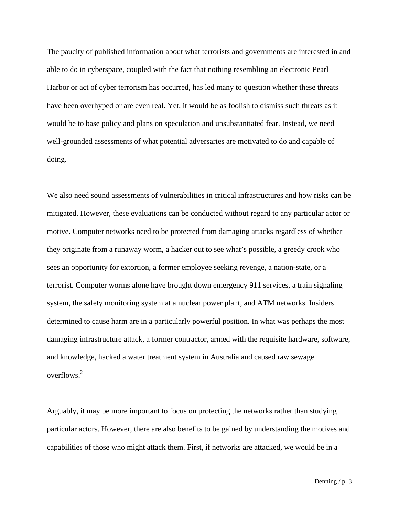The paucity of published information about what terrorists and governments are interested in and able to do in cyberspace, coupled with the fact that nothing resembling an electronic Pearl Harbor or act of cyber terrorism has occurred, has led many to question whether these threats have been overhyped or are even real. Yet, it would be as foolish to dismiss such threats as it would be to base policy and plans on speculation and unsubstantiated fear. Instead, we need well-grounded assessments of what potential adversaries are motivated to do and capable of doing.

We also need sound assessments of vulnerabilities in critical infrastructures and how risks can be mitigated. However, these evaluations can be conducted without regard to any particular actor or motive. Computer networks need to be protected from damaging attacks regardless of whether they originate from a runaway worm, a hacker out to see what's possible, a greedy crook who sees an opportunity for extortion, a former employee seeking revenge, a nation-state, or a terrorist. Computer worms alone have brought down emergency 911 services, a train signaling system, the safety monitoring system at a nuclear power plant, and ATM networks. Insiders determined to cause harm are in a particularly powerful position. In what was perhaps the most damaging infrastructure attack, a former contractor, armed with the requisite hardware, software, and knowledge, hacked a water treatment system in Australia and caused raw sewage overflows.<sup>2</sup>

Arguably, it may be more important to focus on protecting the networks rather than studying particular actors. However, there are also benefits to be gained by understanding the motives and capabilities of those who might attack them. First, if networks are attacked, we would be in a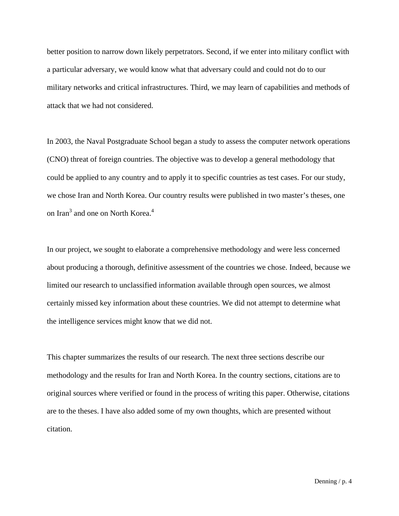better position to narrow down likely perpetrators. Second, if we enter into military conflict with a particular adversary, we would know what that adversary could and could not do to our military networks and critical infrastructures. Third, we may learn of capabilities and methods of attack that we had not considered.

In 2003, the Naval Postgraduate School began a study to assess the computer network operations (CNO) threat of foreign countries. The objective was to develop a general methodology that could be applied to any country and to apply it to specific countries as test cases. For our study, we chose Iran and North Korea. Our country results were published in two master's theses, one on Iran<sup>3</sup> and one on North Korea.<sup>4</sup>

In our project, we sought to elaborate a comprehensive methodology and were less concerned about producing a thorough, definitive assessment of the countries we chose. Indeed, because we limited our research to unclassified information available through open sources, we almost certainly missed key information about these countries. We did not attempt to determine what the intelligence services might know that we did not.

This chapter summarizes the results of our research. The next three sections describe our methodology and the results for Iran and North Korea. In the country sections, citations are to original sources where verified or found in the process of writing this paper. Otherwise, citations are to the theses. I have also added some of my own thoughts, which are presented without citation.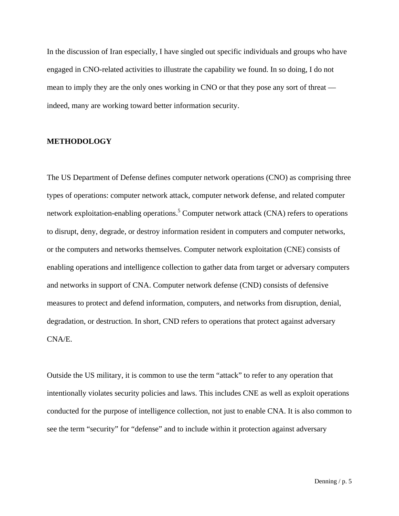In the discussion of Iran especially, I have singled out specific individuals and groups who have engaged in CNO-related activities to illustrate the capability we found. In so doing, I do not mean to imply they are the only ones working in CNO or that they pose any sort of threat indeed, many are working toward better information security.

## **METHODOLOGY**

The US Department of Defense defines computer network operations (CNO) as comprising three types of operations: computer network attack, computer network defense, and related computer network exploitation-enabling operations.<sup>5</sup> Computer network attack (CNA) refers to operations to disrupt, deny, degrade, or destroy information resident in computers and computer networks, or the computers and networks themselves. Computer network exploitation (CNE) consists of enabling operations and intelligence collection to gather data from target or adversary computers and networks in support of CNA. Computer network defense (CND) consists of defensive measures to protect and defend information, computers, and networks from disruption, denial, degradation, or destruction. In short, CND refers to operations that protect against adversary CNA/E.

Outside the US military, it is common to use the term "attack" to refer to any operation that intentionally violates security policies and laws. This includes CNE as well as exploit operations conducted for the purpose of intelligence collection, not just to enable CNA. It is also common to see the term "security" for "defense" and to include within it protection against adversary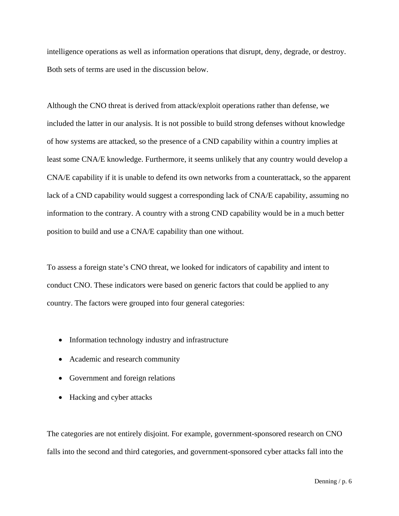intelligence operations as well as information operations that disrupt, deny, degrade, or destroy. Both sets of terms are used in the discussion below.

Although the CNO threat is derived from attack/exploit operations rather than defense, we included the latter in our analysis. It is not possible to build strong defenses without knowledge of how systems are attacked, so the presence of a CND capability within a country implies at least some CNA/E knowledge. Furthermore, it seems unlikely that any country would develop a CNA/E capability if it is unable to defend its own networks from a counterattack, so the apparent lack of a CND capability would suggest a corresponding lack of CNA/E capability, assuming no information to the contrary. A country with a strong CND capability would be in a much better position to build and use a CNA/E capability than one without.

To assess a foreign state's CNO threat, we looked for indicators of capability and intent to conduct CNO. These indicators were based on generic factors that could be applied to any country. The factors were grouped into four general categories:

- Information technology industry and infrastructure
- Academic and research community
- Government and foreign relations
- Hacking and cyber attacks

The categories are not entirely disjoint. For example, government-sponsored research on CNO falls into the second and third categories, and government-sponsored cyber attacks fall into the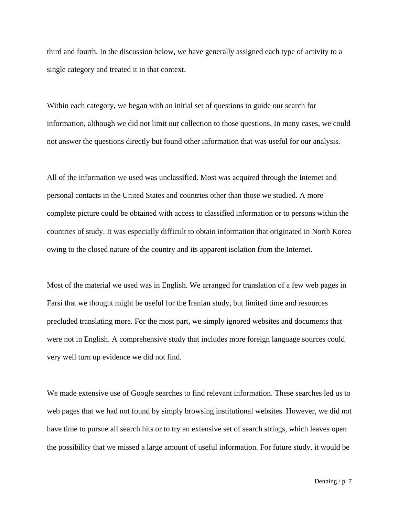third and fourth. In the discussion below, we have generally assigned each type of activity to a single category and treated it in that context.

Within each category, we began with an initial set of questions to guide our search for information, although we did not limit our collection to those questions. In many cases, we could not answer the questions directly but found other information that was useful for our analysis.

All of the information we used was unclassified. Most was acquired through the Internet and personal contacts in the United States and countries other than those we studied. A more complete picture could be obtained with access to classified information or to persons within the countries of study. It was especially difficult to obtain information that originated in North Korea owing to the closed nature of the country and its apparent isolation from the Internet.

Most of the material we used was in English. We arranged for translation of a few web pages in Farsi that we thought might be useful for the Iranian study, but limited time and resources precluded translating more. For the most part, we simply ignored websites and documents that were not in English. A comprehensive study that includes more foreign language sources could very well turn up evidence we did not find.

We made extensive use of Google searches to find relevant information. These searches led us to web pages that we had not found by simply browsing institutional websites. However, we did not have time to pursue all search hits or to try an extensive set of search strings, which leaves open the possibility that we missed a large amount of useful information. For future study, it would be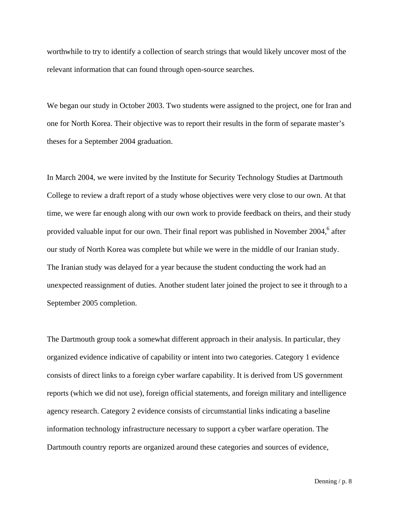worthwhile to try to identify a collection of search strings that would likely uncover most of the relevant information that can found through open-source searches.

We began our study in October 2003. Two students were assigned to the project, one for Iran and one for North Korea. Their objective was to report their results in the form of separate master's theses for a September 2004 graduation.

In March 2004, we were invited by the Institute for Security Technology Studies at Dartmouth College to review a draft report of a study whose objectives were very close to our own. At that time, we were far enough along with our own work to provide feedback on theirs, and their study provided valuable input for our own. Their final report was published in November 2004,<sup>6</sup> after our study of North Korea was complete but while we were in the middle of our Iranian study. The Iranian study was delayed for a year because the student conducting the work had an unexpected reassignment of duties. Another student later joined the project to see it through to a September 2005 completion.

The Dartmouth group took a somewhat different approach in their analysis. In particular, they organized evidence indicative of capability or intent into two categories. Category 1 evidence consists of direct links to a foreign cyber warfare capability. It is derived from US government reports (which we did not use), foreign official statements, and foreign military and intelligence agency research. Category 2 evidence consists of circumstantial links indicating a baseline information technology infrastructure necessary to support a cyber warfare operation. The Dartmouth country reports are organized around these categories and sources of evidence,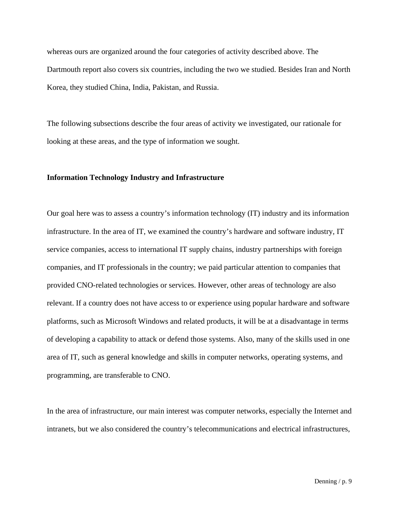whereas ours are organized around the four categories of activity described above. The Dartmouth report also covers six countries, including the two we studied. Besides Iran and North Korea, they studied China, India, Pakistan, and Russia.

The following subsections describe the four areas of activity we investigated, our rationale for looking at these areas, and the type of information we sought.

#### **Information Technology Industry and Infrastructure**

Our goal here was to assess a country's information technology (IT) industry and its information infrastructure. In the area of IT, we examined the country's hardware and software industry, IT service companies, access to international IT supply chains, industry partnerships with foreign companies, and IT professionals in the country; we paid particular attention to companies that provided CNO-related technologies or services. However, other areas of technology are also relevant. If a country does not have access to or experience using popular hardware and software platforms, such as Microsoft Windows and related products, it will be at a disadvantage in terms of developing a capability to attack or defend those systems. Also, many of the skills used in one area of IT, such as general knowledge and skills in computer networks, operating systems, and programming, are transferable to CNO.

In the area of infrastructure, our main interest was computer networks, especially the Internet and intranets, but we also considered the country's telecommunications and electrical infrastructures,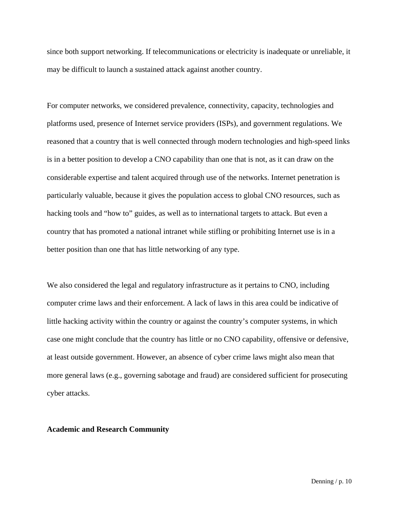since both support networking. If telecommunications or electricity is inadequate or unreliable, it may be difficult to launch a sustained attack against another country.

For computer networks, we considered prevalence, connectivity, capacity, technologies and platforms used, presence of Internet service providers (ISPs), and government regulations. We reasoned that a country that is well connected through modern technologies and high-speed links is in a better position to develop a CNO capability than one that is not, as it can draw on the considerable expertise and talent acquired through use of the networks. Internet penetration is particularly valuable, because it gives the population access to global CNO resources, such as hacking tools and "how to" guides, as well as to international targets to attack. But even a country that has promoted a national intranet while stifling or prohibiting Internet use is in a better position than one that has little networking of any type.

We also considered the legal and regulatory infrastructure as it pertains to CNO, including computer crime laws and their enforcement. A lack of laws in this area could be indicative of little hacking activity within the country or against the country's computer systems, in which case one might conclude that the country has little or no CNO capability, offensive or defensive, at least outside government. However, an absence of cyber crime laws might also mean that more general laws (e.g., governing sabotage and fraud) are considered sufficient for prosecuting cyber attacks.

## **Academic and Research Community**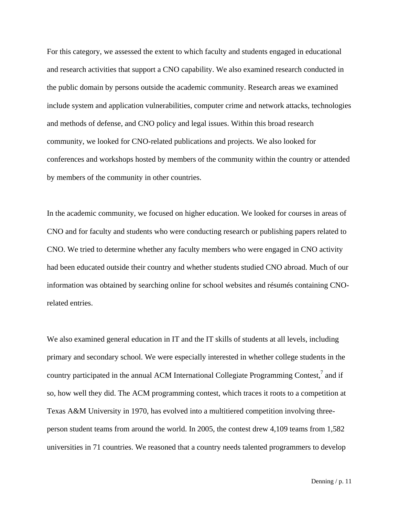For this category, we assessed the extent to which faculty and students engaged in educational and research activities that support a CNO capability. We also examined research conducted in the public domain by persons outside the academic community. Research areas we examined include system and application vulnerabilities, computer crime and network attacks, technologies and methods of defense, and CNO policy and legal issues. Within this broad research community, we looked for CNO-related publications and projects. We also looked for conferences and workshops hosted by members of the community within the country or attended by members of the community in other countries.

In the academic community, we focused on higher education. We looked for courses in areas of CNO and for faculty and students who were conducting research or publishing papers related to CNO. We tried to determine whether any faculty members who were engaged in CNO activity had been educated outside their country and whether students studied CNO abroad. Much of our information was obtained by searching online for school websites and résumés containing CNOrelated entries.

We also examined general education in IT and the IT skills of students at all levels, including primary and secondary school. We were especially interested in whether college students in the country participated in the annual ACM International Collegiate Programming Contest, $^7$  and if so, how well they did. The ACM programming contest, which traces it roots to a competition at Texas A&M University in 1970, has evolved into a multitiered competition involving threeperson student teams from around the world. In 2005, the contest drew 4,109 teams from 1,582 universities in 71 countries. We reasoned that a country needs talented programmers to develop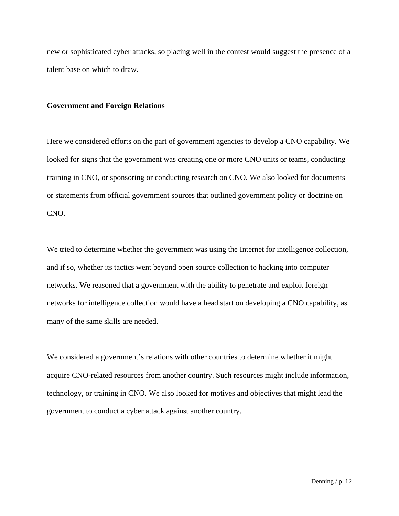new or sophisticated cyber attacks, so placing well in the contest would suggest the presence of a talent base on which to draw.

#### **Government and Foreign Relations**

Here we considered efforts on the part of government agencies to develop a CNO capability. We looked for signs that the government was creating one or more CNO units or teams, conducting training in CNO, or sponsoring or conducting research on CNO. We also looked for documents or statements from official government sources that outlined government policy or doctrine on CNO.

We tried to determine whether the government was using the Internet for intelligence collection, and if so, whether its tactics went beyond open source collection to hacking into computer networks. We reasoned that a government with the ability to penetrate and exploit foreign networks for intelligence collection would have a head start on developing a CNO capability, as many of the same skills are needed.

We considered a government's relations with other countries to determine whether it might acquire CNO-related resources from another country. Such resources might include information, technology, or training in CNO. We also looked for motives and objectives that might lead the government to conduct a cyber attack against another country.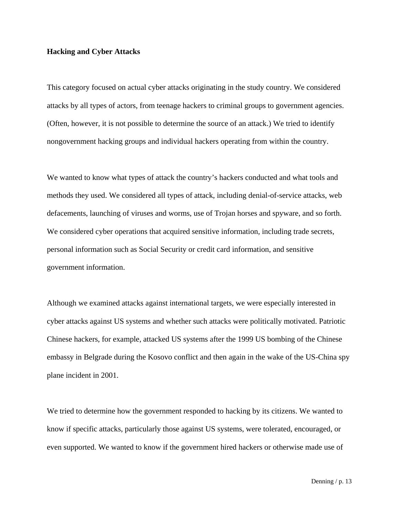## **Hacking and Cyber Attacks**

This category focused on actual cyber attacks originating in the study country. We considered attacks by all types of actors, from teenage hackers to criminal groups to government agencies. (Often, however, it is not possible to determine the source of an attack.) We tried to identify nongovernment hacking groups and individual hackers operating from within the country.

We wanted to know what types of attack the country's hackers conducted and what tools and methods they used. We considered all types of attack, including denial-of-service attacks, web defacements, launching of viruses and worms, use of Trojan horses and spyware, and so forth. We considered cyber operations that acquired sensitive information, including trade secrets, personal information such as Social Security or credit card information, and sensitive government information.

Although we examined attacks against international targets, we were especially interested in cyber attacks against US systems and whether such attacks were politically motivated. Patriotic Chinese hackers, for example, attacked US systems after the 1999 US bombing of the Chinese embassy in Belgrade during the Kosovo conflict and then again in the wake of the US-China spy plane incident in 2001.

We tried to determine how the government responded to hacking by its citizens. We wanted to know if specific attacks, particularly those against US systems, were tolerated, encouraged, or even supported. We wanted to know if the government hired hackers or otherwise made use of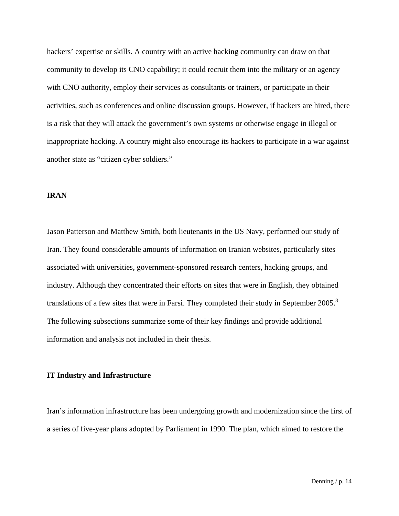hackers' expertise or skills. A country with an active hacking community can draw on that community to develop its CNO capability; it could recruit them into the military or an agency with CNO authority, employ their services as consultants or trainers, or participate in their activities, such as conferences and online discussion groups. However, if hackers are hired, there is a risk that they will attack the government's own systems or otherwise engage in illegal or inappropriate hacking. A country might also encourage its hackers to participate in a war against another state as "citizen cyber soldiers."

# **IRAN**

Jason Patterson and Matthew Smith, both lieutenants in the US Navy, performed our study of Iran. They found considerable amounts of information on Iranian websites, particularly sites associated with universities, government-sponsored research centers, hacking groups, and industry. Although they concentrated their efforts on sites that were in English, they obtained translations of a few sites that were in Farsi. They completed their study in September 2005.<sup>8</sup> The following subsections summarize some of their key findings and provide additional information and analysis not included in their thesis.

#### **IT Industry and Infrastructure**

Iran's information infrastructure has been undergoing growth and modernization since the first of a series of five-year plans adopted by Parliament in 1990. The plan, which aimed to restore the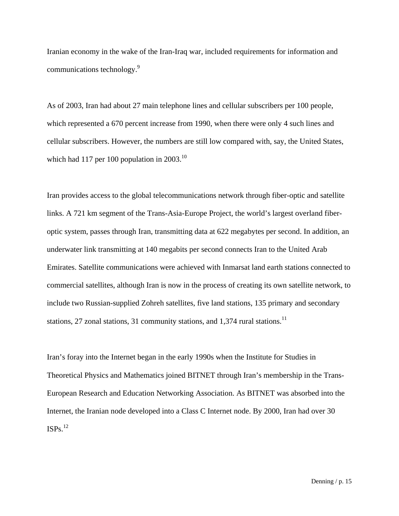Iranian economy in the wake of the Iran-Iraq war, included requirements for information and communications technology.9

As of 2003, Iran had about 27 main telephone lines and cellular subscribers per 100 people, which represented a 670 percent increase from 1990, when there were only 4 such lines and cellular subscribers. However, the numbers are still low compared with, say, the United States, which had 117 per 100 population in  $2003$ <sup>10</sup>

Iran provides access to the global telecommunications network through fiber-optic and satellite links. A 721 km segment of the Trans-Asia-Europe Project, the world's largest overland fiberoptic system, passes through Iran, transmitting data at 622 megabytes per second. In addition, an underwater link transmitting at 140 megabits per second connects Iran to the United Arab Emirates. Satellite communications were achieved with Inmarsat land earth stations connected to commercial satellites, although Iran is now in the process of creating its own satellite network, to include two Russian-supplied Zohreh satellites, five land stations, 135 primary and secondary stations, 27 zonal stations, 31 community stations, and  $1,374$  rural stations.<sup>11</sup>

Iran's foray into the Internet began in the early 1990s when the Institute for Studies in Theoretical Physics and Mathematics joined BITNET through Iran's membership in the Trans-European Research and Education Networking Association. As BITNET was absorbed into the Internet, the Iranian node developed into a Class C Internet node. By 2000, Iran had over 30  $ISPs<sup>12</sup>$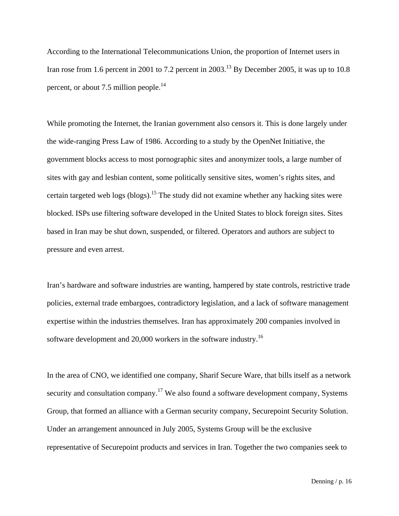According to the International Telecommunications Union, the proportion of Internet users in Iran rose from 1.6 percent in 2001 to 7.2 percent in  $2003$ .<sup>13</sup> By December 2005, it was up to 10.8 percent, or about 7.5 million people.<sup>14</sup>

While promoting the Internet, the Iranian government also censors it. This is done largely under the wide-ranging Press Law of 1986. According to a study by the OpenNet Initiative, the government blocks access to most pornographic sites and anonymizer tools, a large number of sites with gay and lesbian content, some politically sensitive sites, women's rights sites, and certain targeted web logs (blogs).<sup>15</sup> The study did not examine whether any hacking sites were blocked. ISPs use filtering software developed in the United States to block foreign sites. Sites based in Iran may be shut down, suspended, or filtered. Operators and authors are subject to pressure and even arrest.

Iran's hardware and software industries are wanting, hampered by state controls, restrictive trade policies, external trade embargoes, contradictory legislation, and a lack of software management expertise within the industries themselves. Iran has approximately 200 companies involved in software development and 20,000 workers in the software industry.<sup>16</sup>

In the area of CNO, we identified one company, Sharif Secure Ware, that bills itself as a network security and consultation company.<sup>17</sup> We also found a software development company, Systems Group, that formed an alliance with a German security company, Securepoint Security Solution. Under an arrangement announced in July 2005, Systems Group will be the exclusive representative of Securepoint products and services in Iran. Together the two companies seek to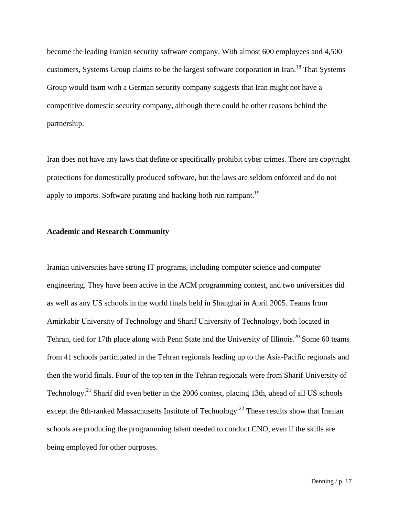become the leading Iranian security software company. With almost 600 employees and 4,500 customers, Systems Group claims to be the largest software corporation in Iran.<sup>18</sup> That Systems Group would team with a German security company suggests that Iran might not have a competitive domestic security company, although there could be other reasons behind the partnership.

Iran does not have any laws that define or specifically prohibit cyber crimes. There are copyright protections for domestically produced software, but the laws are seldom enforced and do not apply to imports. Software pirating and hacking both run rampant.<sup>19</sup>

## **Academic and Research Community**

Iranian universities have strong IT programs, including computer science and computer engineering. They have been active in the ACM programming contest, and two universities did as well as any US schools in the world finals held in Shanghai in April 2005. Teams from Amirkabir University of Technology and Sharif University of Technology, both located in Tehran, tied for 17th place along with Penn State and the University of Illinois.<sup>20</sup> Some 60 teams from 41 schools participated in the Tehran regionals leading up to the Asia-Pacific regionals and then the world finals. Four of the top ten in the Tehran regionals were from Sharif University of Technology.<sup>21</sup> Sharif did even better in the 2006 contest, placing 13th, ahead of all US schools except the 8th-ranked Massachusetts Institute of Technology.<sup>22</sup> These results show that Iranian schools are producing the programming talent needed to conduct CNO, even if the skills are being employed for other purposes.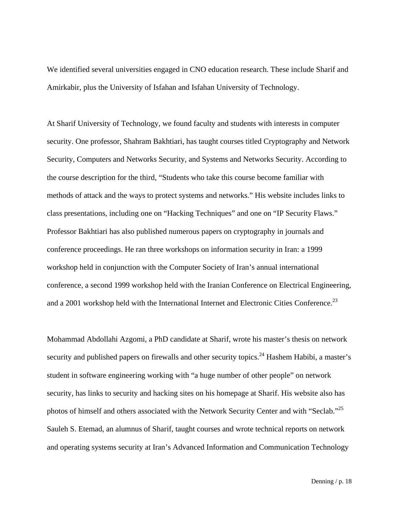We identified several universities engaged in CNO education research. These include Sharif and Amirkabir, plus the University of Isfahan and Isfahan University of Technology.

At Sharif University of Technology, we found faculty and students with interests in computer security. One professor, Shahram Bakhtiari, has taught courses titled Cryptography and Network Security, Computers and Networks Security, and Systems and Networks Security. According to the course description for the third, "Students who take this course become familiar with methods of attack and the ways to protect systems and networks." His website includes links to class presentations, including one on "Hacking Techniques" and one on "IP Security Flaws." Professor Bakhtiari has also published numerous papers on cryptography in journals and conference proceedings. He ran three workshops on information security in Iran: a 1999 workshop held in conjunction with the Computer Society of Iran's annual international conference, a second 1999 workshop held with the Iranian Conference on Electrical Engineering, and a 2001 workshop held with the International Internet and Electronic Cities Conference.<sup>23</sup>

Mohammad Abdollahi Azgomi, a PhD candidate at Sharif, wrote his master's thesis on network security and published papers on firewalls and other security topics.<sup>24</sup> Hashem Habibi, a master's student in software engineering working with "a huge number of other people" on network security, has links to security and hacking sites on his homepage at Sharif. His website also has photos of himself and others associated with the Network Security Center and with "Seclab."<sup>25</sup> Sauleh S. Etemad, an alumnus of Sharif, taught courses and wrote technical reports on network and operating systems security at Iran's Advanced Information and Communication Technology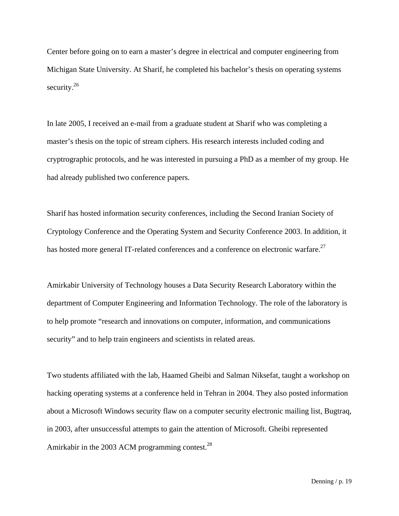Center before going on to earn a master's degree in electrical and computer engineering from Michigan State University. At Sharif, he completed his bachelor's thesis on operating systems security.<sup>26</sup>

In late 2005, I received an e-mail from a graduate student at Sharif who was completing a master's thesis on the topic of stream ciphers. His research interests included coding and cryptrographic protocols, and he was interested in pursuing a PhD as a member of my group. He had already published two conference papers.

Sharif has hosted information security conferences, including the Second Iranian Society of Cryptology Conference and the Operating System and Security Conference 2003. In addition, it has hosted more general IT-related conferences and a conference on electronic warfare.<sup>27</sup>

Amirkabir University of Technology houses a Data Security Research Laboratory within the department of Computer Engineering and Information Technology. The role of the laboratory is to help promote "research and innovations on computer, information, and communications security" and to help train engineers and scientists in related areas.

Two students affiliated with the lab, Haamed Gheibi and Salman Niksefat, taught a workshop on hacking operating systems at a conference held in Tehran in 2004. They also posted information about a Microsoft Windows security flaw on a computer security electronic mailing list, Bugtraq, in 2003, after unsuccessful attempts to gain the attention of Microsoft. Gheibi represented Amirkabir in the 2003 ACM programming contest.<sup>28</sup>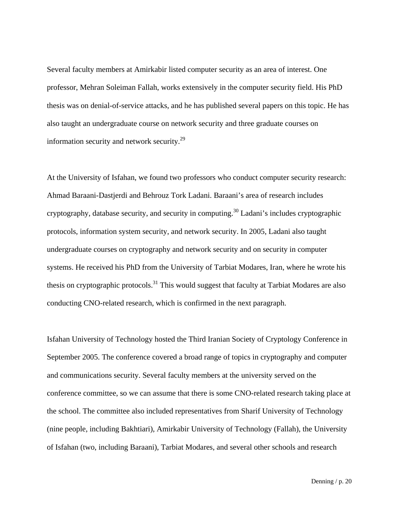Several faculty members at Amirkabir listed computer security as an area of interest. One professor, Mehran Soleiman Fallah, works extensively in the computer security field. His PhD thesis was on denial-of-service attacks, and he has published several papers on this topic. He has also taught an undergraduate course on network security and three graduate courses on information security and network security.29

At the University of Isfahan, we found two professors who conduct computer security research: Ahmad Baraani-Dastjerdi and Behrouz Tork Ladani. Baraani's area of research includes cryptography, database security, and security in computing.<sup>30</sup> Ladani's includes cryptographic protocols, information system security, and network security. In 2005, Ladani also taught undergraduate courses on cryptography and network security and on security in computer systems. He received his PhD from the University of Tarbiat Modares, Iran, where he wrote his thesis on cryptographic protocols.<sup>31</sup> This would suggest that faculty at Tarbiat Modares are also conducting CNO-related research, which is confirmed in the next paragraph.

Isfahan University of Technology hosted the Third Iranian Society of Cryptology Conference in September 2005. The conference covered a broad range of topics in cryptography and computer and communications security. Several faculty members at the university served on the conference committee, so we can assume that there is some CNO-related research taking place at the school. The committee also included representatives from Sharif University of Technology (nine people, including Bakhtiari), Amirkabir University of Technology (Fallah), the University of Isfahan (two, including Baraani), Tarbiat Modares, and several other schools and research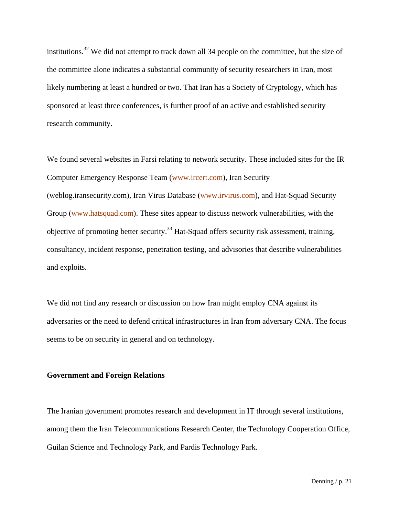institutions.32 We did not attempt to track down all 34 people on the committee, but the size of the committee alone indicates a substantial community of security researchers in Iran, most likely numbering at least a hundred or two. That Iran has a Society of Cryptology, which has sponsored at least three conferences, is further proof of an active and established security research community.

We found several websites in Farsi relating to network security. These included sites for the IR Computer Emergency Response Team (www.ircert.com), Iran Security (weblog.iransecurity.com), Iran Virus Database (www.irvirus.com), and Hat-Squad Security Group (www.hatsquad.com). These sites appear to discuss network vulnerabilities, with the objective of promoting better security.33 Hat-Squad offers security risk assessment, training, consultancy, incident response, penetration testing, and advisories that describe vulnerabilities and exploits.

We did not find any research or discussion on how Iran might employ CNA against its adversaries or the need to defend critical infrastructures in Iran from adversary CNA. The focus seems to be on security in general and on technology.

#### **Government and Foreign Relations**

The Iranian government promotes research and development in IT through several institutions, among them the Iran Telecommunications Research Center, the Technology Cooperation Office, Guilan Science and Technology Park, and Pardis Technology Park.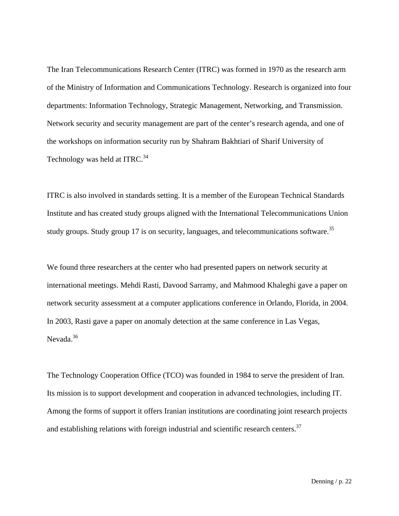The Iran Telecommunications Research Center (ITRC) was formed in 1970 as the research arm of the Ministry of Information and Communications Technology. Research is organized into four departments: Information Technology, Strategic Management, Networking, and Transmission. Network security and security management are part of the center's research agenda, and one of the workshops on information security run by Shahram Bakhtiari of Sharif University of Technology was held at ITRC. $34$ 

ITRC is also involved in standards setting. It is a member of the European Technical Standards Institute and has created study groups aligned with the International Telecommunications Union study groups. Study group 17 is on security, languages, and telecommunications software.<sup>35</sup>

We found three researchers at the center who had presented papers on network security at international meetings. Mehdi Rasti, Davood Sarramy, and Mahmood Khaleghi gave a paper on network security assessment at a computer applications conference in Orlando, Florida, in 2004. In 2003, Rasti gave a paper on anomaly detection at the same conference in Las Vegas, Nevada<sup>36</sup>

The Technology Cooperation Office (TCO) was founded in 1984 to serve the president of Iran. Its mission is to support development and cooperation in advanced technologies, including IT. Among the forms of support it offers Iranian institutions are coordinating joint research projects and establishing relations with foreign industrial and scientific research centers.<sup>37</sup>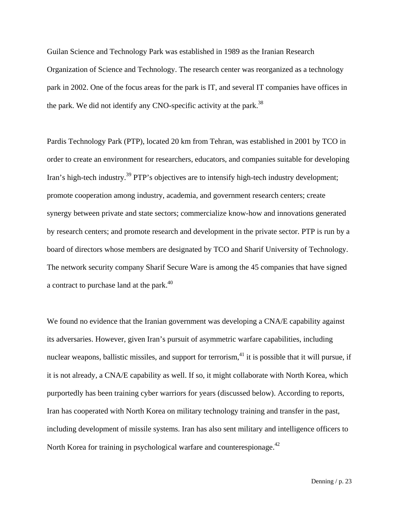Guilan Science and Technology Park was established in 1989 as the Iranian Research Organization of Science and Technology. The research center was reorganized as a technology park in 2002. One of the focus areas for the park is IT, and several IT companies have offices in the park. We did not identify any CNO-specific activity at the park.<sup>38</sup>

Pardis Technology Park (PTP), located 20 km from Tehran, was established in 2001 by TCO in order to create an environment for researchers, educators, and companies suitable for developing Iran's high-tech industry.<sup>39</sup> PTP's objectives are to intensify high-tech industry development; promote cooperation among industry, academia, and government research centers; create synergy between private and state sectors; commercialize know-how and innovations generated by research centers; and promote research and development in the private sector. PTP is run by a board of directors whose members are designated by TCO and Sharif University of Technology. The network security company Sharif Secure Ware is among the 45 companies that have signed a contract to purchase land at the park. $40$ 

We found no evidence that the Iranian government was developing a CNA/E capability against its adversaries. However, given Iran's pursuit of asymmetric warfare capabilities, including nuclear weapons, ballistic missiles, and support for terrorism,<sup>41</sup> it is possible that it will pursue, if it is not already, a CNA/E capability as well. If so, it might collaborate with North Korea, which purportedly has been training cyber warriors for years (discussed below). According to reports, Iran has cooperated with North Korea on military technology training and transfer in the past, including development of missile systems. Iran has also sent military and intelligence officers to North Korea for training in psychological warfare and counterespionage.<sup>42</sup>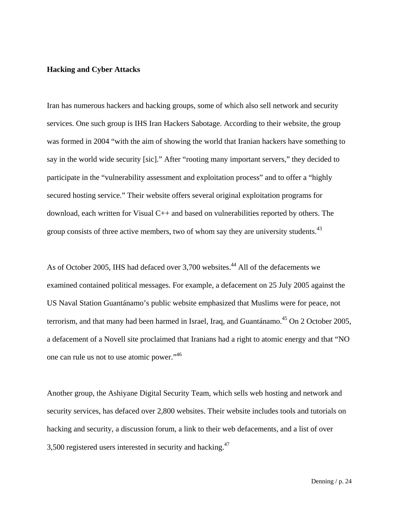## **Hacking and Cyber Attacks**

Iran has numerous hackers and hacking groups, some of which also sell network and security services. One such group is IHS Iran Hackers Sabotage. According to their website, the group was formed in 2004 "with the aim of showing the world that Iranian hackers have something to say in the world wide security [sic]." After "rooting many important servers," they decided to participate in the "vulnerability assessment and exploitation process" and to offer a "highly secured hosting service." Their website offers several original exploitation programs for download, each written for Visual C++ and based on vulnerabilities reported by others. The group consists of three active members, two of whom say they are university students. $43$ 

As of October 2005, IHS had defaced over 3,700 websites.<sup>44</sup> All of the defacements we examined contained political messages. For example, a defacement on 25 July 2005 against the US Naval Station Guantánamo's public website emphasized that Muslims were for peace, not terrorism, and that many had been harmed in Israel, Iraq, and Guantánamo. 45 On 2 October 2005, a defacement of a Novell site proclaimed that Iranians had a right to atomic energy and that "NO one can rule us not to use atomic power."<sup>46</sup>

Another group, the Ashiyane Digital Security Team, which sells web hosting and network and security services, has defaced over 2,800 websites. Their website includes tools and tutorials on hacking and security, a discussion forum, a link to their web defacements, and a list of over 3,500 registered users interested in security and hacking.<sup>47</sup>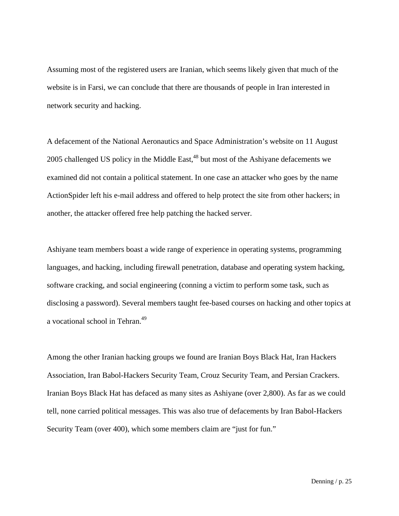Assuming most of the registered users are Iranian, which seems likely given that much of the website is in Farsi, we can conclude that there are thousands of people in Iran interested in network security and hacking.

A defacement of the National Aeronautics and Space Administration's website on 11 August 2005 challenged US policy in the Middle East,<sup>48</sup> but most of the Ashiyane defacements we examined did not contain a political statement. In one case an attacker who goes by the name ActionSpider left his e-mail address and offered to help protect the site from other hackers; in another, the attacker offered free help patching the hacked server.

Ashiyane team members boast a wide range of experience in operating systems, programming languages, and hacking, including firewall penetration, database and operating system hacking, software cracking, and social engineering (conning a victim to perform some task, such as disclosing a password). Several members taught fee-based courses on hacking and other topics at a vocational school in Tehran.<sup>49</sup>

Among the other Iranian hacking groups we found are Iranian Boys Black Hat, Iran Hackers Association, Iran Babol-Hackers Security Team, Crouz Security Team, and Persian Crackers. Iranian Boys Black Hat has defaced as many sites as Ashiyane (over 2,800). As far as we could tell, none carried political messages. This was also true of defacements by Iran Babol-Hackers Security Team (over 400), which some members claim are "just for fun."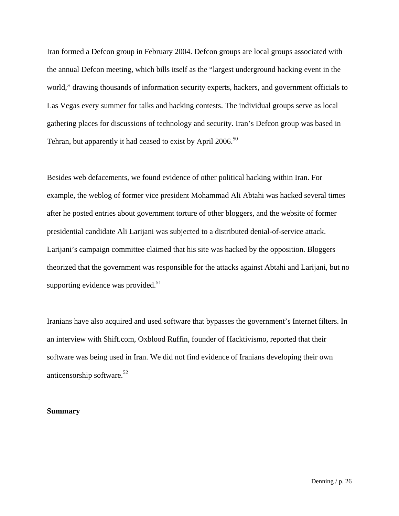Iran formed a Defcon group in February 2004. Defcon groups are local groups associated with the annual Defcon meeting, which bills itself as the "largest underground hacking event in the world," drawing thousands of information security experts, hackers, and government officials to Las Vegas every summer for talks and hacking contests. The individual groups serve as local gathering places for discussions of technology and security. Iran's Defcon group was based in Tehran, but apparently it had ceased to exist by April 2006.<sup>50</sup>

Besides web defacements, we found evidence of other political hacking within Iran. For example, the weblog of former vice president Mohammad Ali Abtahi was hacked several times after he posted entries about government torture of other bloggers, and the website of former presidential candidate Ali Larijani was subjected to a distributed denial-of-service attack. Larijani's campaign committee claimed that his site was hacked by the opposition. Bloggers theorized that the government was responsible for the attacks against Abtahi and Larijani, but no supporting evidence was provided. $51$ 

Iranians have also acquired and used software that bypasses the government's Internet filters. In an interview with Shift.com, Oxblood Ruffin, founder of Hacktivismo, reported that their software was being used in Iran. We did not find evidence of Iranians developing their own anticensorship software. $52$ 

#### **Summary**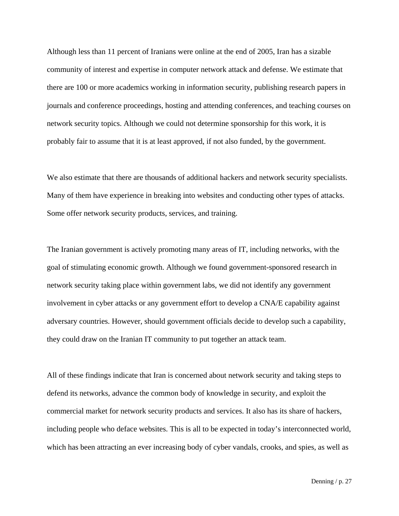Although less than 11 percent of Iranians were online at the end of 2005, Iran has a sizable community of interest and expertise in computer network attack and defense. We estimate that there are 100 or more academics working in information security, publishing research papers in journals and conference proceedings, hosting and attending conferences, and teaching courses on network security topics. Although we could not determine sponsorship for this work, it is probably fair to assume that it is at least approved, if not also funded, by the government.

We also estimate that there are thousands of additional hackers and network security specialists. Many of them have experience in breaking into websites and conducting other types of attacks. Some offer network security products, services, and training.

The Iranian government is actively promoting many areas of IT, including networks, with the goal of stimulating economic growth. Although we found government-sponsored research in network security taking place within government labs, we did not identify any government involvement in cyber attacks or any government effort to develop a CNA/E capability against adversary countries. However, should government officials decide to develop such a capability, they could draw on the Iranian IT community to put together an attack team.

All of these findings indicate that Iran is concerned about network security and taking steps to defend its networks, advance the common body of knowledge in security, and exploit the commercial market for network security products and services. It also has its share of hackers, including people who deface websites. This is all to be expected in today's interconnected world, which has been attracting an ever increasing body of cyber vandals, crooks, and spies, as well as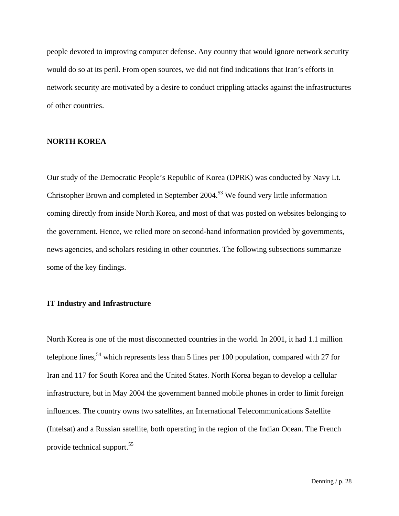people devoted to improving computer defense. Any country that would ignore network security would do so at its peril. From open sources, we did not find indications that Iran's efforts in network security are motivated by a desire to conduct crippling attacks against the infrastructures of other countries.

## **NORTH KOREA**

Our study of the Democratic People's Republic of Korea (DPRK) was conducted by Navy Lt. Christopher Brown and completed in September 2004.53 We found very little information coming directly from inside North Korea, and most of that was posted on websites belonging to the government. Hence, we relied more on second-hand information provided by governments, news agencies, and scholars residing in other countries. The following subsections summarize some of the key findings.

## **IT Industry and Infrastructure**

North Korea is one of the most disconnected countries in the world. In 2001, it had 1.1 million telephone lines,<sup>54</sup> which represents less than 5 lines per 100 population, compared with 27 for Iran and 117 for South Korea and the United States. North Korea began to develop a cellular infrastructure, but in May 2004 the government banned mobile phones in order to limit foreign influences. The country owns two satellites, an International Telecommunications Satellite (Intelsat) and a Russian satellite, both operating in the region of the Indian Ocean. The French provide technical support.<sup>55</sup>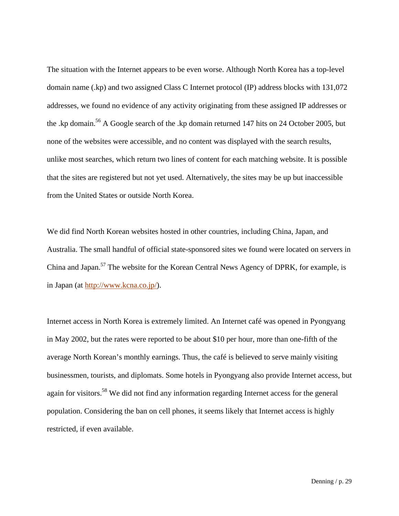The situation with the Internet appears to be even worse. Although North Korea has a top-level domain name (.kp) and two assigned Class C Internet protocol (IP) address blocks with 131,072 addresses, we found no evidence of any activity originating from these assigned IP addresses or the .kp domain.<sup>56</sup> A Google search of the .kp domain returned 147 hits on 24 October 2005, but none of the websites were accessible, and no content was displayed with the search results, unlike most searches, which return two lines of content for each matching website. It is possible that the sites are registered but not yet used. Alternatively, the sites may be up but inaccessible from the United States or outside North Korea.

We did find North Korean websites hosted in other countries, including China, Japan, and Australia. The small handful of official state-sponsored sites we found were located on servers in China and Japan.57 The website for the Korean Central News Agency of DPRK, for example, is in Japan (at http://www.kcna.co.jp/).

Internet access in North Korea is extremely limited. An Internet café was opened in Pyongyang in May 2002, but the rates were reported to be about \$10 per hour, more than one-fifth of the average North Korean's monthly earnings. Thus, the café is believed to serve mainly visiting businessmen, tourists, and diplomats. Some hotels in Pyongyang also provide Internet access, but again for visitors.<sup>58</sup> We did not find any information regarding Internet access for the general population. Considering the ban on cell phones, it seems likely that Internet access is highly restricted, if even available.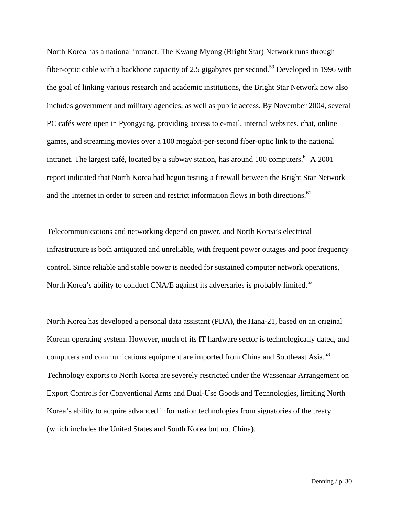North Korea has a national intranet. The Kwang Myong (Bright Star) Network runs through fiber-optic cable with a backbone capacity of 2.5 gigabytes per second.<sup>59</sup> Developed in 1996 with the goal of linking various research and academic institutions, the Bright Star Network now also includes government and military agencies, as well as public access. By November 2004, several PC cafés were open in Pyongyang, providing access to e-mail, internal websites, chat, online games, and streaming movies over a 100 megabit-per-second fiber-optic link to the national intranet. The largest café, located by a subway station, has around 100 computers.<sup>60</sup> A 2001 report indicated that North Korea had begun testing a firewall between the Bright Star Network and the Internet in order to screen and restrict information flows in both directions.<sup>61</sup>

Telecommunications and networking depend on power, and North Korea's electrical infrastructure is both antiquated and unreliable, with frequent power outages and poor frequency control. Since reliable and stable power is needed for sustained computer network operations, North Korea's ability to conduct CNA/E against its adversaries is probably limited.<sup>62</sup>

North Korea has developed a personal data assistant (PDA), the Hana-21, based on an original Korean operating system. However, much of its IT hardware sector is technologically dated, and computers and communications equipment are imported from China and Southeast Asia.<sup>63</sup> Technology exports to North Korea are severely restricted under the Wassenaar Arrangement on Export Controls for Conventional Arms and Dual-Use Goods and Technologies, limiting North Korea's ability to acquire advanced information technologies from signatories of the treaty (which includes the United States and South Korea but not China).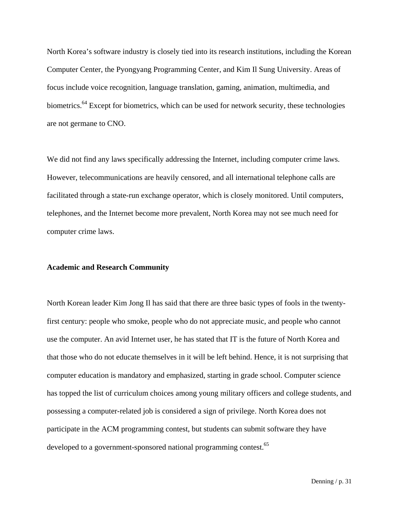North Korea's software industry is closely tied into its research institutions, including the Korean Computer Center, the Pyongyang Programming Center, and Kim Il Sung University. Areas of focus include voice recognition, language translation, gaming, animation, multimedia, and biometrics.<sup>64</sup> Except for biometrics, which can be used for network security, these technologies are not germane to CNO.

We did not find any laws specifically addressing the Internet, including computer crime laws. However, telecommunications are heavily censored, and all international telephone calls are facilitated through a state-run exchange operator, which is closely monitored. Until computers, telephones, and the Internet become more prevalent, North Korea may not see much need for computer crime laws.

## **Academic and Research Community**

North Korean leader Kim Jong Il has said that there are three basic types of fools in the twentyfirst century: people who smoke, people who do not appreciate music, and people who cannot use the computer. An avid Internet user, he has stated that IT is the future of North Korea and that those who do not educate themselves in it will be left behind. Hence, it is not surprising that computer education is mandatory and emphasized, starting in grade school. Computer science has topped the list of curriculum choices among young military officers and college students, and possessing a computer-related job is considered a sign of privilege. North Korea does not participate in the ACM programming contest, but students can submit software they have developed to a government-sponsored national programming contest.<sup>65</sup>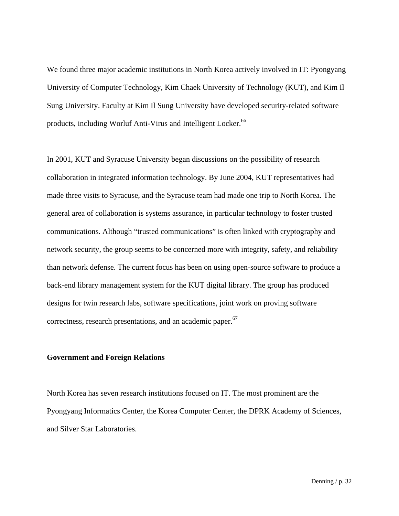We found three major academic institutions in North Korea actively involved in IT: Pyongyang University of Computer Technology, Kim Chaek University of Technology (KUT), and Kim Il Sung University. Faculty at Kim Il Sung University have developed security-related software products, including Worluf Anti-Virus and Intelligent Locker.<sup>66</sup>

In 2001, KUT and Syracuse University began discussions on the possibility of research collaboration in integrated information technology. By June 2004, KUT representatives had made three visits to Syracuse, and the Syracuse team had made one trip to North Korea. The general area of collaboration is systems assurance, in particular technology to foster trusted communications. Although "trusted communications" is often linked with cryptography and network security, the group seems to be concerned more with integrity, safety, and reliability than network defense. The current focus has been on using open-source software to produce a back-end library management system for the KUT digital library. The group has produced designs for twin research labs, software specifications, joint work on proving software correctness, research presentations, and an academic paper.<sup>67</sup>

#### **Government and Foreign Relations**

North Korea has seven research institutions focused on IT. The most prominent are the Pyongyang Informatics Center, the Korea Computer Center, the DPRK Academy of Sciences, and Silver Star Laboratories.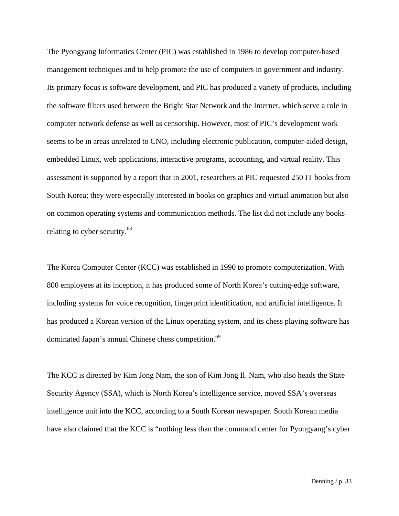The Pyongyang Informatics Center (PIC) was established in 1986 to develop computer-based management techniques and to help promote the use of computers in government and industry. Its primary focus is software development, and PIC has produced a variety of products, including the software filters used between the Bright Star Network and the Internet, which serve a role in computer network defense as well as censorship. However, most of PIC's development work seems to be in areas unrelated to CNO, including electronic publication, computer-aided design, embedded Linux, web applications, interactive programs, accounting, and virtual reality. This assessment is supported by a report that in 2001, researchers at PIC requested 250 IT books from South Korea; they were especially interested in books on graphics and virtual animation but also on common operating systems and communication methods. The list did not include any books relating to cyber security.<sup>68</sup>

The Korea Computer Center (KCC) was established in 1990 to promote computerization. With 800 employees at its inception, it has produced some of North Korea's cutting-edge software, including systems for voice recognition, fingerprint identification, and artificial intelligence. It has produced a Korean version of the Linux operating system, and its chess playing software has dominated Japan's annual Chinese chess competition.<sup>69</sup>

The KCC is directed by Kim Jong Nam, the son of Kim Jong Il. Nam, who also heads the State Security Agency (SSA), which is North Korea's intelligence service, moved SSA's overseas intelligence unit into the KCC, according to a South Korean newspaper. South Korean media have also claimed that the KCC is "nothing less than the command center for Pyongyang's cyber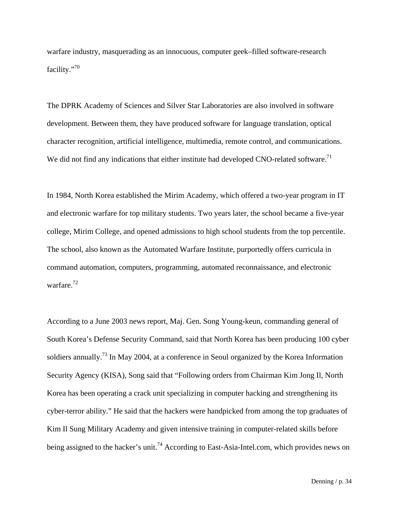warfare industry, masquerading as an innocuous, computer geek–filled software-research facility."<sup>70</sup>

The DPRK Academy of Sciences and Silver Star Laboratories are also involved in software development. Between them, they have produced software for language translation, optical character recognition, artificial intelligence, multimedia, remote control, and communications. We did not find any indications that either institute had developed CNO-related software.<sup>71</sup>

In 1984, North Korea established the Mirim Academy, which offered a two-year program in IT and electronic warfare for top military students. Two years later, the school became a five-year college, Mirim College, and opened admissions to high school students from the top percentile. The school, also known as the Automated Warfare Institute, purportedly offers curricula in command automation, computers, programming, automated reconnaissance, and electronic warfare.<sup>72</sup>

According to a June 2003 news report, Maj. Gen. Song Young-keun, commanding general of South Korea's Defense Security Command, said that North Korea has been producing 100 cyber soldiers annually.<sup>73</sup> In May 2004, at a conference in Seoul organized by the Korea Information Security Agency (KISA), Song said that "Following orders from Chairman Kim Jong Il, North Korea has been operating a crack unit specializing in computer hacking and strengthening its cyber-terror ability." He said that the hackers were handpicked from among the top graduates of Kim Il Sung Military Academy and given intensive training in computer-related skills before being assigned to the hacker's unit.<sup>74</sup> According to East-Asia-Intel.com, which provides news on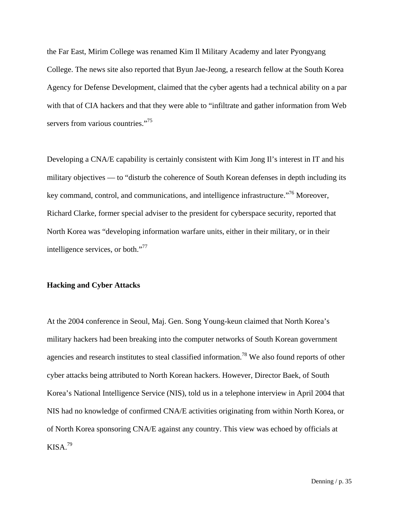the Far East, Mirim College was renamed Kim Il Military Academy and later Pyongyang College. The news site also reported that Byun Jae-Jeong, a research fellow at the South Korea Agency for Defense Development, claimed that the cyber agents had a technical ability on a par with that of CIA hackers and that they were able to "infiltrate and gather information from Web servers from various countries."<sup>75</sup>

Developing a CNA/E capability is certainly consistent with Kim Jong Il's interest in IT and his military objectives — to "disturb the coherence of South Korean defenses in depth including its key command, control, and communications, and intelligence infrastructure."76 Moreover, Richard Clarke, former special adviser to the president for cyberspace security, reported that North Korea was "developing information warfare units, either in their military, or in their intelligence services, or both."<sup>77</sup>

## **Hacking and Cyber Attacks**

At the 2004 conference in Seoul, Maj. Gen. Song Young-keun claimed that North Korea's military hackers had been breaking into the computer networks of South Korean government agencies and research institutes to steal classified information.<sup>78</sup> We also found reports of other cyber attacks being attributed to North Korean hackers. However, Director Baek, of South Korea's National Intelligence Service (NIS), told us in a telephone interview in April 2004 that NIS had no knowledge of confirmed CNA/E activities originating from within North Korea, or of North Korea sponsoring CNA/E against any country. This view was echoed by officials at  $KISA.<sup>79</sup>$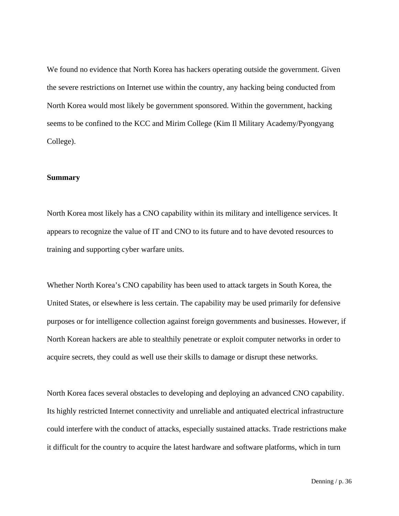We found no evidence that North Korea has hackers operating outside the government. Given the severe restrictions on Internet use within the country, any hacking being conducted from North Korea would most likely be government sponsored. Within the government, hacking seems to be confined to the KCC and Mirim College (Kim Il Military Academy/Pyongyang College).

#### **Summary**

North Korea most likely has a CNO capability within its military and intelligence services. It appears to recognize the value of IT and CNO to its future and to have devoted resources to training and supporting cyber warfare units.

Whether North Korea's CNO capability has been used to attack targets in South Korea, the United States, or elsewhere is less certain. The capability may be used primarily for defensive purposes or for intelligence collection against foreign governments and businesses. However, if North Korean hackers are able to stealthily penetrate or exploit computer networks in order to acquire secrets, they could as well use their skills to damage or disrupt these networks.

North Korea faces several obstacles to developing and deploying an advanced CNO capability. Its highly restricted Internet connectivity and unreliable and antiquated electrical infrastructure could interfere with the conduct of attacks, especially sustained attacks. Trade restrictions make it difficult for the country to acquire the latest hardware and software platforms, which in turn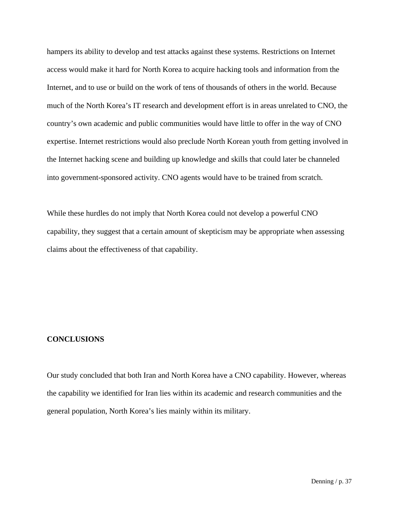hampers its ability to develop and test attacks against these systems. Restrictions on Internet access would make it hard for North Korea to acquire hacking tools and information from the Internet, and to use or build on the work of tens of thousands of others in the world. Because much of the North Korea's IT research and development effort is in areas unrelated to CNO, the country's own academic and public communities would have little to offer in the way of CNO expertise. Internet restrictions would also preclude North Korean youth from getting involved in the Internet hacking scene and building up knowledge and skills that could later be channeled into government-sponsored activity. CNO agents would have to be trained from scratch.

While these hurdles do not imply that North Korea could not develop a powerful CNO capability, they suggest that a certain amount of skepticism may be appropriate when assessing claims about the effectiveness of that capability.

## **CONCLUSIONS**

Our study concluded that both Iran and North Korea have a CNO capability. However, whereas the capability we identified for Iran lies within its academic and research communities and the general population, North Korea's lies mainly within its military.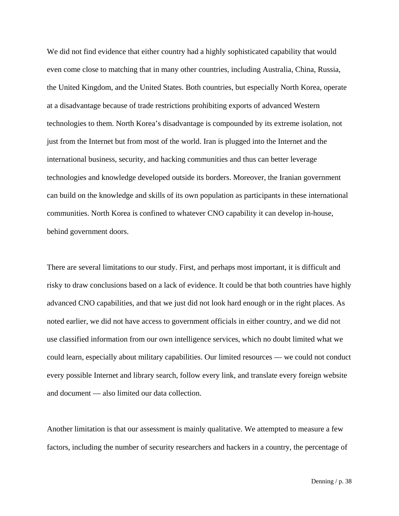We did not find evidence that either country had a highly sophisticated capability that would even come close to matching that in many other countries, including Australia, China, Russia, the United Kingdom, and the United States. Both countries, but especially North Korea, operate at a disadvantage because of trade restrictions prohibiting exports of advanced Western technologies to them. North Korea's disadvantage is compounded by its extreme isolation, not just from the Internet but from most of the world. Iran is plugged into the Internet and the international business, security, and hacking communities and thus can better leverage technologies and knowledge developed outside its borders. Moreover, the Iranian government can build on the knowledge and skills of its own population as participants in these international communities. North Korea is confined to whatever CNO capability it can develop in-house, behind government doors.

There are several limitations to our study. First, and perhaps most important, it is difficult and risky to draw conclusions based on a lack of evidence. It could be that both countries have highly advanced CNO capabilities, and that we just did not look hard enough or in the right places. As noted earlier, we did not have access to government officials in either country, and we did not use classified information from our own intelligence services, which no doubt limited what we could learn, especially about military capabilities. Our limited resources — we could not conduct every possible Internet and library search, follow every link, and translate every foreign website and document — also limited our data collection.

Another limitation is that our assessment is mainly qualitative. We attempted to measure a few factors, including the number of security researchers and hackers in a country, the percentage of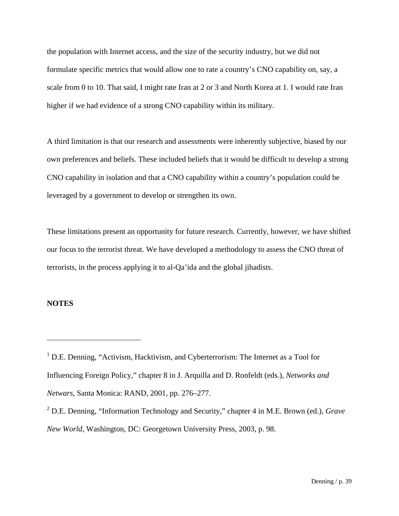the population with Internet access, and the size of the security industry, but we did not formulate specific metrics that would allow one to rate a country's CNO capability on, say, a scale from 0 to 10. That said, I might rate Iran at 2 or 3 and North Korea at 1. I would rate Iran higher if we had evidence of a strong CNO capability within its military.

A third limitation is that our research and assessments were inherently subjective, biased by our own preferences and beliefs. These included beliefs that it would be difficult to develop a strong CNO capability in isolation and that a CNO capability within a country's population could be leveraged by a government to develop or strengthen its own.

These limitations present an opportunity for future research. Currently, however, we have shifted our focus to the terrorist threat. We have developed a methodology to assess the CNO threat of terrorists, in the process applying it to al-Qa'ida and the global jihadists.

# **NOTES**

<u>.</u>

<sup>&</sup>lt;sup>1</sup> D.E. Denning, "Activism, Hacktivism, and Cyberterrorism: The Internet as a Tool for Influencing Foreign Policy," chapter 8 in J. Arquilla and D. Ronfeldt (eds.), *Networks and Netwars*, Santa Monica: RAND, 2001, pp. 276–277.

<sup>2</sup> D.E. Denning, "Information Technology and Security," chapter 4 in M.E. Brown (ed.), *Grave New World*, Washington, DC: Georgetown University Press, 2003, p. 98.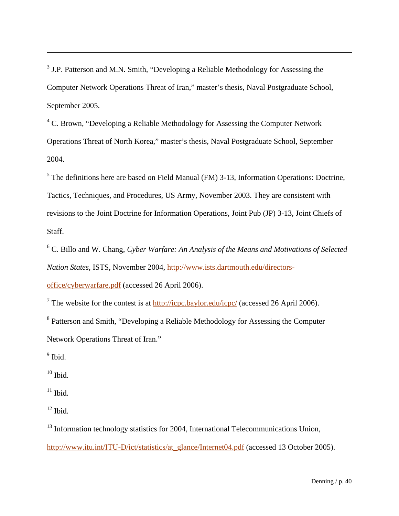$3$  J.P. Patterson and M.N. Smith, "Developing a Reliable Methodology for Assessing the Computer Network Operations Threat of Iran," master's thesis, Naval Postgraduate School, September 2005.

 $4^4$  C. Brown, "Developing a Reliable Methodology for Assessing the Computer Network Operations Threat of North Korea," master's thesis, Naval Postgraduate School, September 2004.

 $<sup>5</sup>$  The definitions here are based on Field Manual (FM) 3-13, Information Operations: Doctrine,</sup> Tactics, Techniques, and Procedures, US Army, November 2003. They are consistent with revisions to the Joint Doctrine for Information Operations, Joint Pub (JP) 3-13, Joint Chiefs of Staff.

6 C. Billo and W. Chang, *Cyber Warfare: An Analysis of the Means and Motivations of Selected Nation States*, ISTS, November 2004, http://www.ists.dartmouth.edu/directorsoffice/cyberwarfare.pdf (accessed 26 April 2006).

<sup>7</sup> The website for the contest is at  $\frac{http://icpc.baylor.edu/icpc/}{}$  (accessed 26 April 2006).

<sup>8</sup> Patterson and Smith, "Developing a Reliable Methodology for Assessing the Computer Network Operations Threat of Iran."

<sup>9</sup> Ibid.

 $\overline{a}$ 

 $10$  Ibid.

 $11$  Ibid.

 $12$  Ibid.

<sup>13</sup> Information technology statistics for 2004, International Telecommunications Union, http://www.itu.int/ITU-D/ict/statistics/at\_glance/Internet04.pdf (accessed 13 October 2005).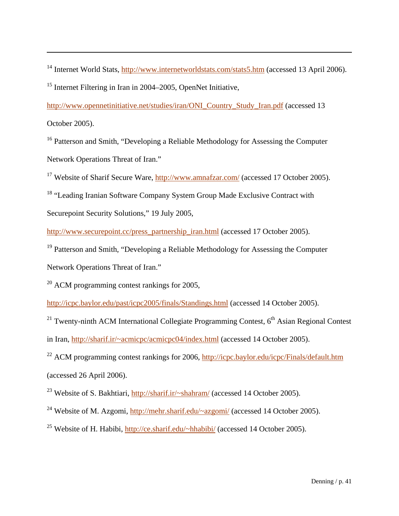<sup>14</sup> Internet World Stats, http://www.internetworldstats.com/stats5.htm (accessed 13 April 2006).

<sup>15</sup> Internet Filtering in Iran in 2004–2005, OpenNet Initiative,

http://www.opennetinitiative.net/studies/iran/ONI\_Country\_Study\_Iran.pdf (accessed 13 October 2005).

<sup>16</sup> Patterson and Smith, "Developing a Reliable Methodology for Assessing the Computer Network Operations Threat of Iran."

<sup>17</sup> Website of Sharif Secure Ware, http://www.amnafzar.com/ (accessed 17 October 2005).

<sup>18</sup> "Leading Iranian Software Company System Group Made Exclusive Contract with

Securepoint Security Solutions," 19 July 2005,

http://www.securepoint.cc/press\_partnership\_iran.html (accessed 17 October 2005).

<sup>19</sup> Patterson and Smith, "Developing a Reliable Methodology for Assessing the Computer

Network Operations Threat of Iran."

 $\overline{a}$ 

 $20$  ACM programming contest rankings for 2005,

http://icpc.baylor.edu/past/icpc2005/finals/Standings.html (accessed 14 October 2005).

<sup>21</sup> Twenty-ninth ACM International Collegiate Programming Contest,  $6<sup>th</sup>$  Asian Regional Contest

in Iran, http://sharif.ir/~acmicpc/acmicpc04/index.html (accessed 14 October 2005).

 $^{22}$  ACM programming contest rankings for 2006, http://icpc.baylor.edu/icpc/Finals/default.htm (accessed 26 April 2006).

<sup>23</sup> Website of S. Bakhtiari, http://sharif.ir/~shahram/ (accessed 14 October 2005).

<sup>24</sup> Website of M. Azgomi, http://mehr.sharif.edu/~azgomi/ (accessed 14 October 2005).

<sup>25</sup> Website of H. Habibi, http://ce.sharif.edu/~hhabibi/ (accessed 14 October 2005).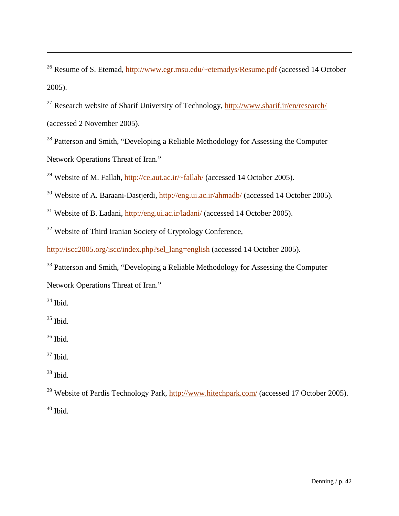26 Resume of S. Etemad, http://www.egr.msu.edu/~etemadys/Resume.pdf (accessed 14 October 2005).

<sup>27</sup> Research website of Sharif University of Technology,  $\frac{h}{h}$ ttp://www.sharif.ir/en/research/

(accessed 2 November 2005).

<sup>28</sup> Patterson and Smith, "Developing a Reliable Methodology for Assessing the Computer

Network Operations Threat of Iran."

<sup>29</sup> Website of M. Fallah,  $\frac{http://ce.aut.ac.it/~fallah/}{http://ce.aut.ac.it/~fallah/})$  (accessed 14 October 2005).

<sup>30</sup> Website of A. Baraani-Dastjerdi, http://eng.ui.ac.ir/ahmadb/ (accessed 14 October 2005).

 $31$  Website of B. Ladani, http://eng.ui.ac.ir/ladani/ (accessed 14 October 2005).

32 Website of Third Iranian Society of Cryptology Conference,

http://iscc2005.org/iscc/index.php?sel\_lang=english (accessed 14 October 2005).

<sup>33</sup> Patterson and Smith, "Developing a Reliable Methodology for Assessing the Computer Network Operations Threat of Iran."

 $34$  Ibid.

 $\overline{a}$ 

 $35$  Ibid.

 $36$  Ibid.

 $37$  Ibid.

 $38$  Ibid.

<sup>39</sup> Website of Pardis Technology Park, http://www.hitechpark.com/ (accessed 17 October 2005).  $40$  Ibid.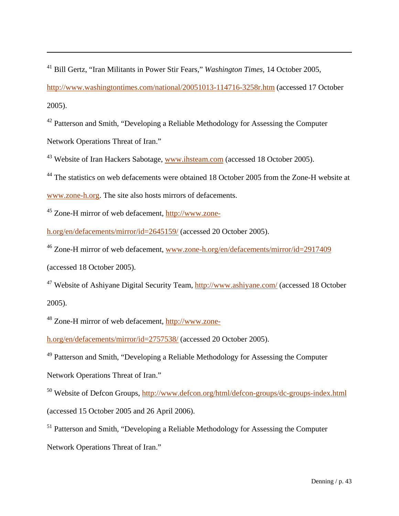41 Bill Gertz, "Iran Militants in Power Stir Fears," *Washington Times*, 14 October 2005*,*  http://www.washingtontimes.com/national/20051013-114716-3258r.htm (accessed 17 October 2005).

<sup>42</sup> Patterson and Smith, "Developing a Reliable Methodology for Assessing the Computer Network Operations Threat of Iran."

<sup>43</sup> Website of Iran Hackers Sabotage, www.ihsteam.com (accessed 18 October 2005).

<sup>44</sup> The statistics on web defacements were obtained 18 October 2005 from the Zone-H website at

www.zone-h.org. The site also hosts mirrors of defacements.

45 Zone-H mirror of web defacement, http://www.zone-

h.org/en/defacements/mirror/id=2645159/ (accessed 20 October 2005).

46 Zone-H mirror of web defacement, www.zone-h.org/en/defacements/mirror/id=2917409

(accessed 18 October 2005).

 $\overline{a}$ 

47 Website of Ashiyane Digital Security Team, http://www.ashiyane.com/ (accessed 18 October 2005).

48 Zone-H mirror of web defacement, http://www.zone-

h.org/en/defacements/mirror/id=2757538/ (accessed 20 October 2005).

49 Patterson and Smith, "Developing a Reliable Methodology for Assessing the Computer Network Operations Threat of Iran."

50 Website of Defcon Groups, http://www.defcon.org/html/defcon-groups/dc-groups-index.html (accessed 15 October 2005 and 26 April 2006).

<sup>51</sup> Patterson and Smith, "Developing a Reliable Methodology for Assessing the Computer Network Operations Threat of Iran."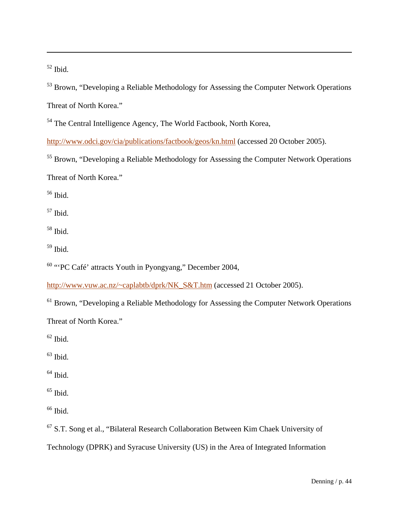52 Ibid.

 $\overline{a}$ 

 $53$  Brown, "Developing a Reliable Methodology for Assessing the Computer Network Operations

Threat of North Korea."

<sup>54</sup> The Central Intelligence Agency, The World Factbook, North Korea,

http://www.odci.gov/cia/publications/factbook/geos/kn.html (accessed 20 October 2005).

55 Brown, "Developing a Reliable Methodology for Assessing the Computer Network Operations Threat of North Korea."

56 Ibid.

 $57$  Ibid.

58 Ibid.

 $59$  Ibid.

60 "'PC Café' attracts Youth in Pyongyang," December 2004,

http://www.vuw.ac.nz/~caplabtb/dprk/NK\_S&T.htm (accessed 21 October 2005).

 $<sup>61</sup>$  Brown, "Developing a Reliable Methodology for Assessing the Computer Network Operations</sup>

Threat of North Korea."

 $62$  Ibid.

 $63$  Ibid.

 $<sup>64</sup>$  Ibid.</sup>

 $65$  Ibid.

 $66$  Ibid.

 $67$  S.T. Song et al., "Bilateral Research Collaboration Between Kim Chaek University of

Technology (DPRK) and Syracuse University (US) in the Area of Integrated Information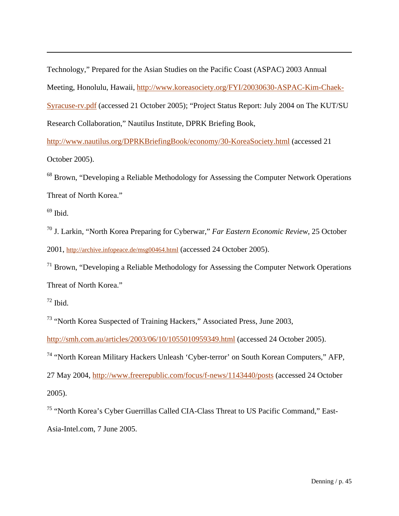Technology," Prepared for the Asian Studies on the Pacific Coast (ASPAC) 2003 Annual Meeting, Honolulu, Hawaii, http://www.koreasociety.org/FYI/20030630-ASPAC-Kim-Chaek-Syracuse-rv.pdf (accessed 21 October 2005); "Project Status Report: July 2004 on The KUT/SU Research Collaboration," Nautilus Institute, DPRK Briefing Book,

http://www.nautilus.org/DPRKBriefingBook/economy/30-KoreaSociety.html (accessed 21 October 2005).

 $68$  Brown, "Developing a Reliable Methodology for Assessing the Computer Network Operations Threat of North Korea."

 $69$  Ibid.

 $\overline{a}$ 

70 J. Larkin, "North Korea Preparing for Cyberwar," *Far Eastern Economic Review*, 25 October 2001, http://archive.infopeace.de/msg00464.html (accessed 24 October 2005).

 $71$  Brown, "Developing a Reliable Methodology for Assessing the Computer Network Operations Threat of North Korea."

 $72$  Ibid.

73 "North Korea Suspected of Training Hackers," Associated Press, June 2003,

http://smh.com.au/articles/2003/06/10/1055010959349.html (accessed 24 October 2005).

74 "North Korean Military Hackers Unleash 'Cyber-terror' on South Korean Computers," AFP,

27 May 2004, http://www.freerepublic.com/focus/f-news/1143440/posts (accessed 24 October 2005).

75 "North Korea's Cyber Guerrillas Called CIA-Class Threat to US Pacific Command," East-Asia-Intel.com, 7 June 2005.